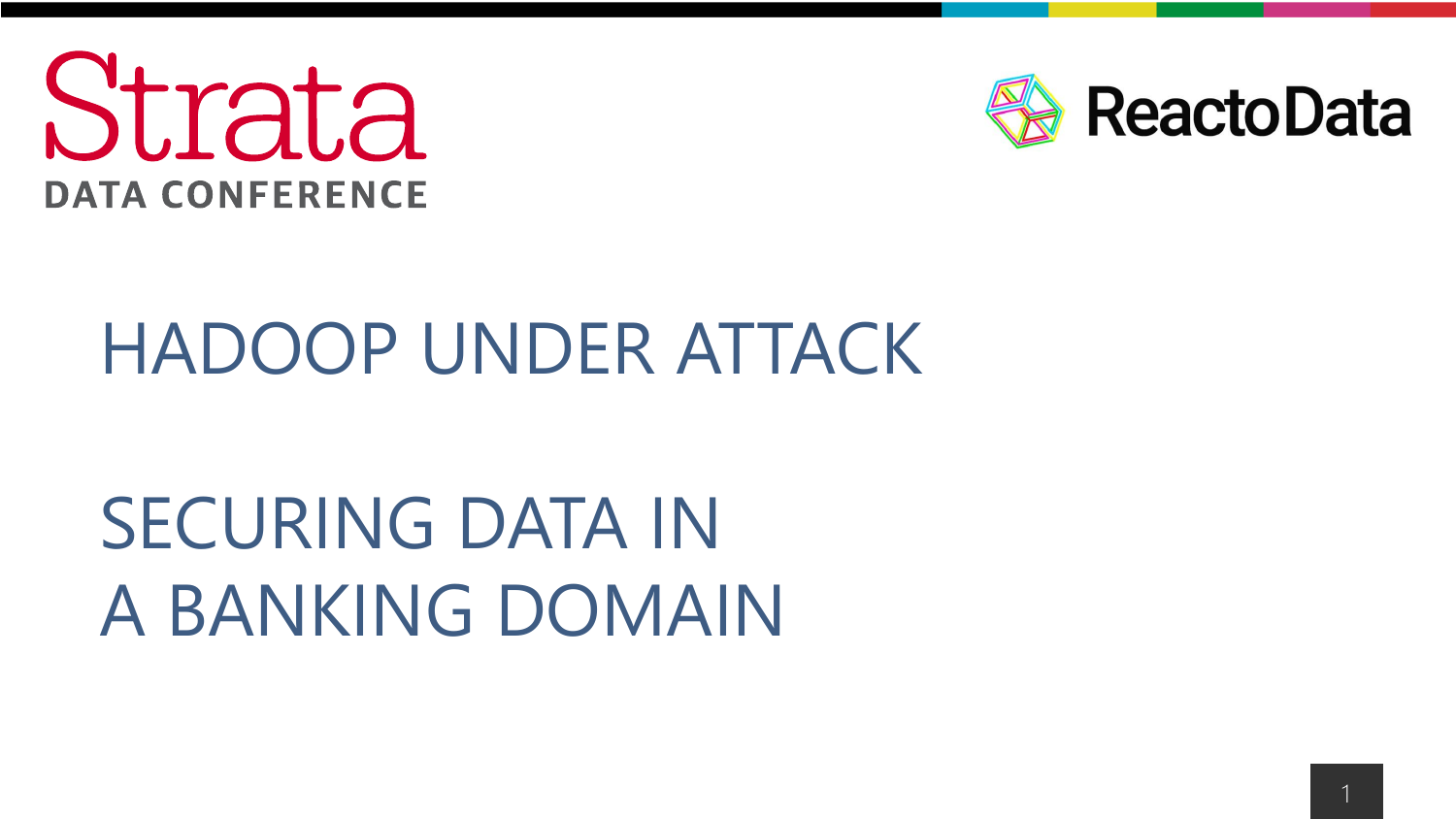



### HADOOP UNDER ATTACK

## SECURING DATA IN A BANKING DOMAIN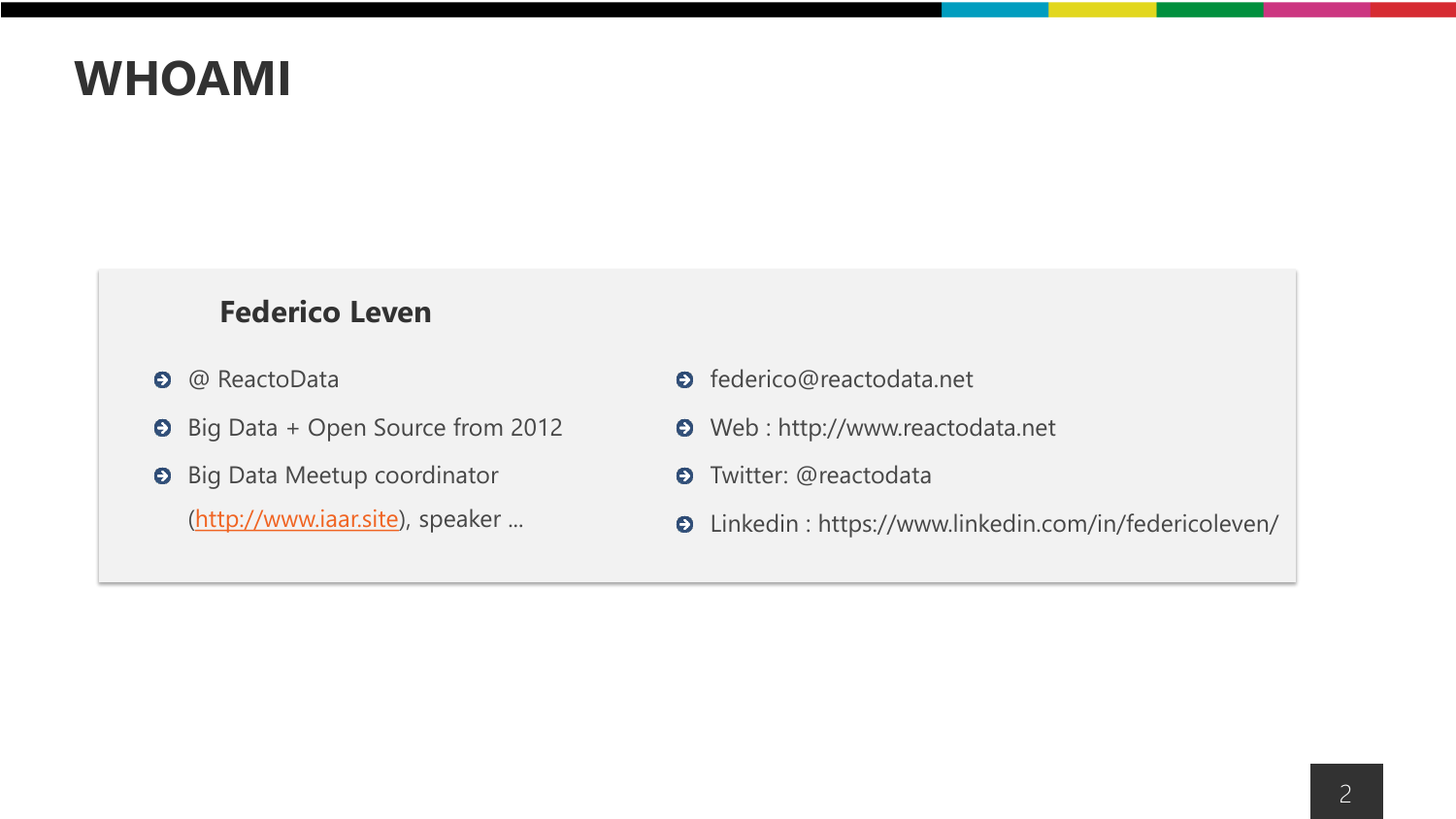### **WHOAMI**

### **Federico Leven**

- @ ReactoData  $\bullet$
- $\bullet$  Big Data + Open Source from 2012
- **O** Big Data Meetup coordinator [\(http://www.iaar.site\)](http://www.iaar.site/), speaker ...
- **O** federico@reactodata.net
- Web : http://www.reactodata.net
- $\bullet$ Twitter: @reactodata
- Linkedin : https://www.linkedin.com/in/federicoleven/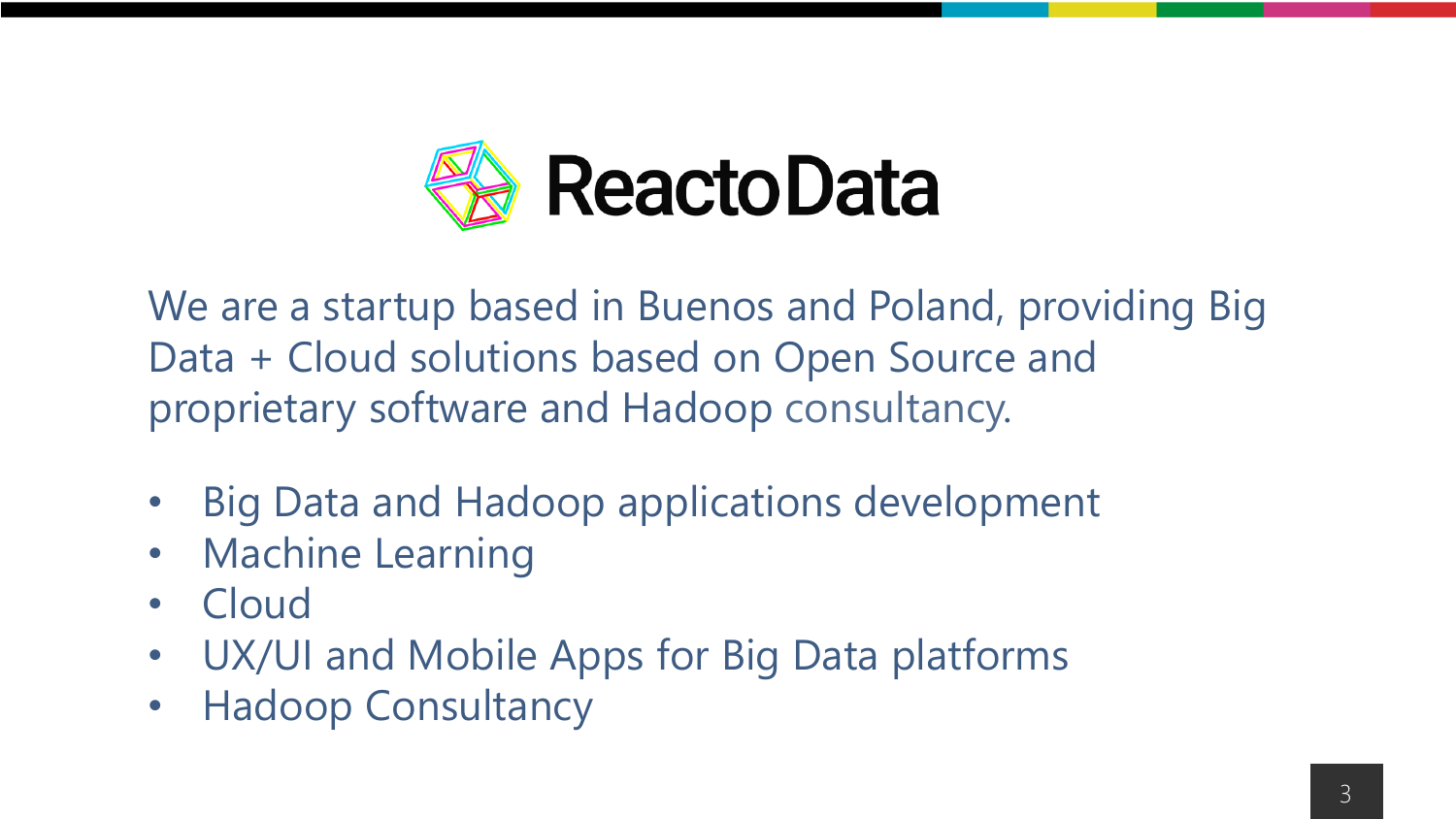

We are a startup based in Buenos and Poland, providing Big Data + Cloud solutions based on Open Source and proprietary software and Hadoop consultancy.

- Big Data and Hadoop applications development
- Machine Learning
- Cloud
- UX/UI and Mobile Apps for Big Data platforms
- Hadoop Consultancy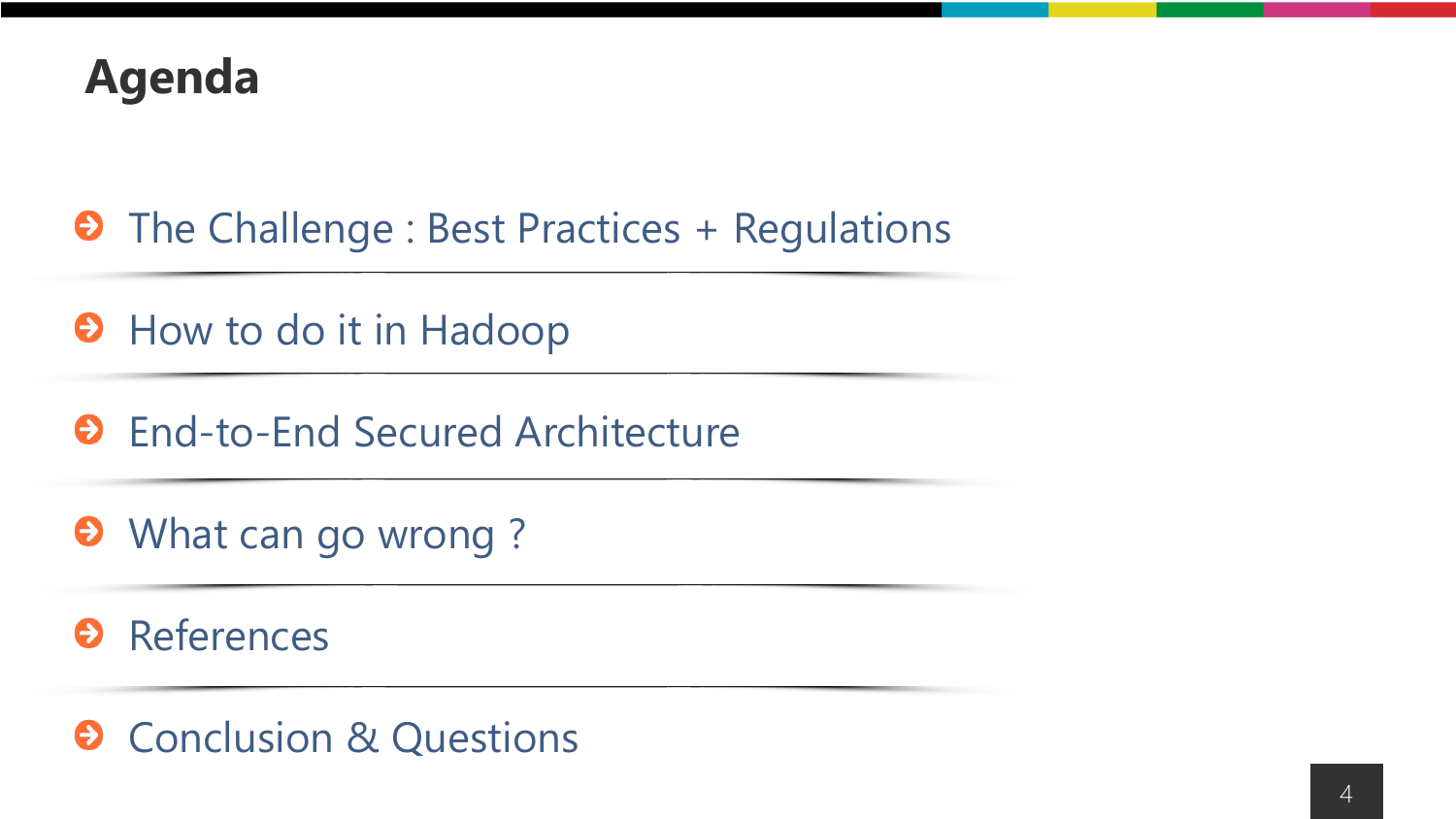

- $\Theta$  The Challenge : Best Practices + Regulations
- **O** How to do it in Hadoop
- **O** End-to-End Secured Architecture
- **O** What can go wrong?

**O** References

 $\odot$  Conclusion & Questions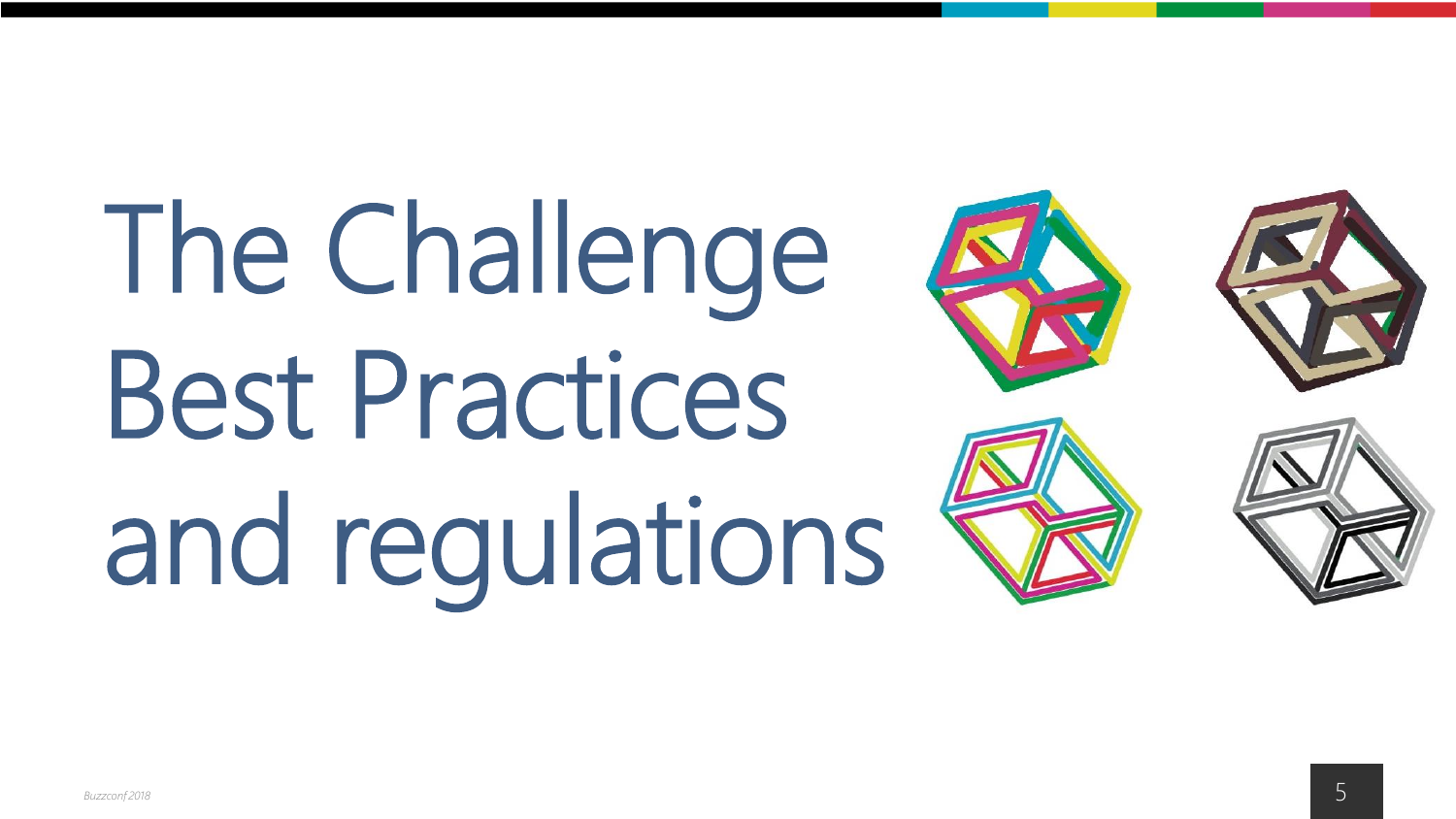# The Challenge Best Practices and regulations







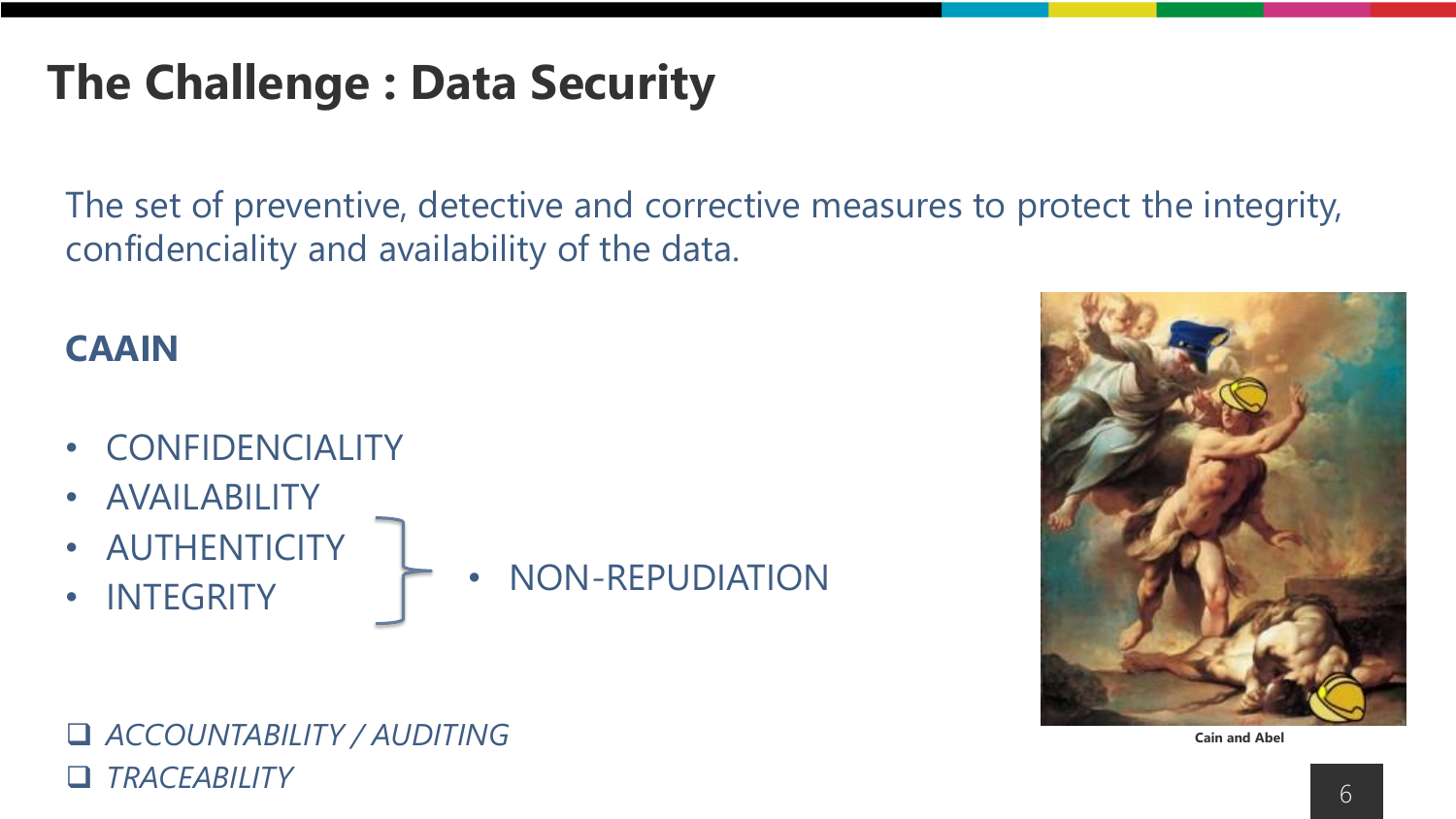### **The Challenge : Data Security**

The set of preventive, detective and corrective measures to protect the integrity, confidenciality and availability of the data.

### **CAAIN**

- CONFIDENCIALITY
- AVAILABILITY
- AUTHENTICITY
- INTEGRITY

• NON-REPUDIATION





❑ *ACCOUNTABILITY / AUDITING* ❑ *TRACEABILITY*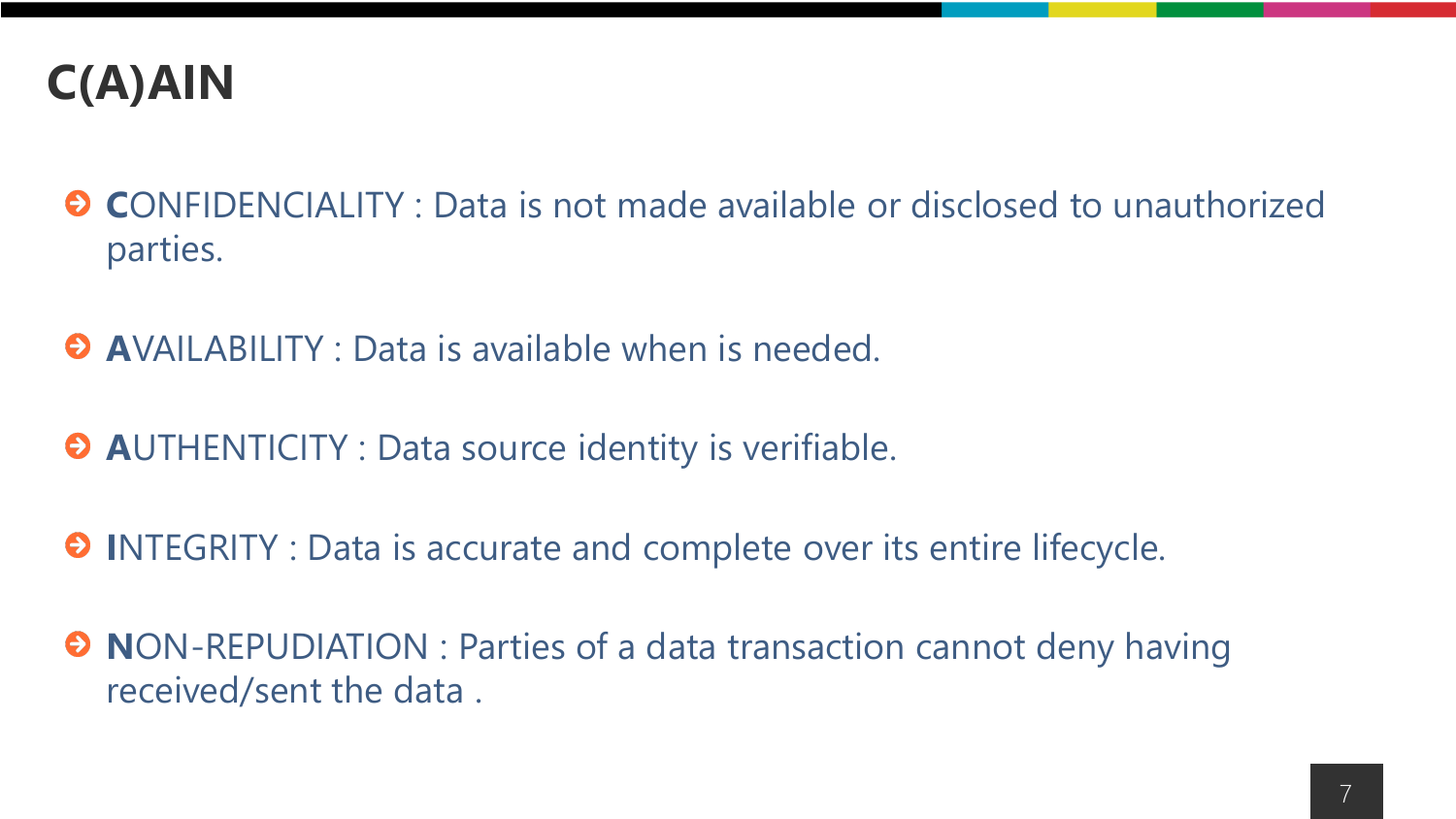

- **C**ONFIDENCIALITY : Data is not made available or disclosed to unauthorized parties.
- **A**VAILABILITY : Data is available when is needed.
- **A**UTHENTICITY : Data source identity is verifiable.
- $\Theta$  INTEGRITY : Data is accurate and complete over its entire lifecycle.
- $\Theta$  **NON-REPUDIATION : Parties of a data transaction cannot deny having** received/sent the data .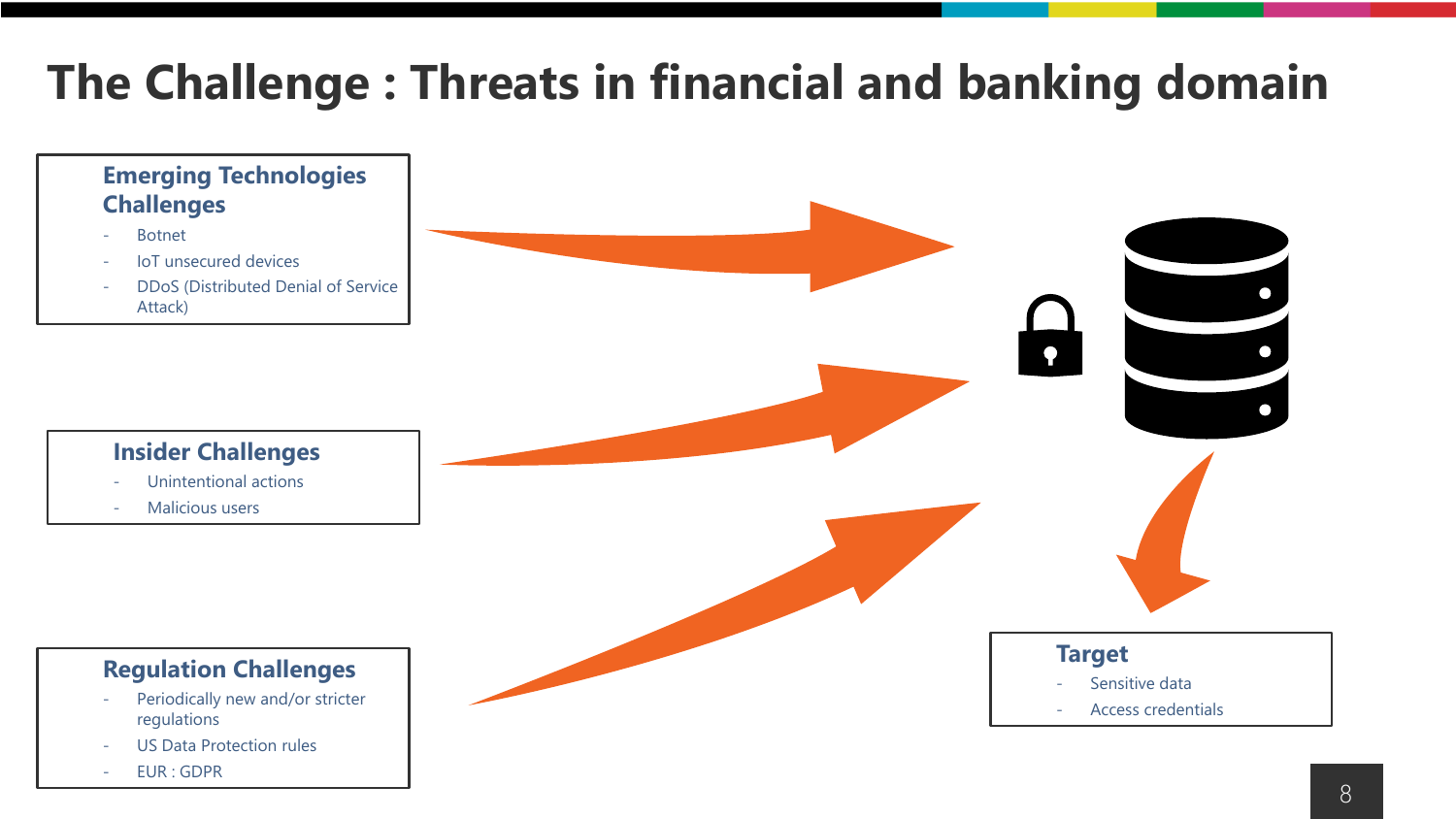### **The Challenge : Threats in financial and banking domain**

### **Emerging Technologies Challenges**

- **Botnet**
- IoT unsecured devices
- DDoS (Distributed Denial of Service Attack)



- Unintentional actions
- Malicious users

### **Regulation Challenges**

- Periodically new and/or stricter regulations
- US Data Protection rules
- EUR : GDPR



 $\bullet$ 

8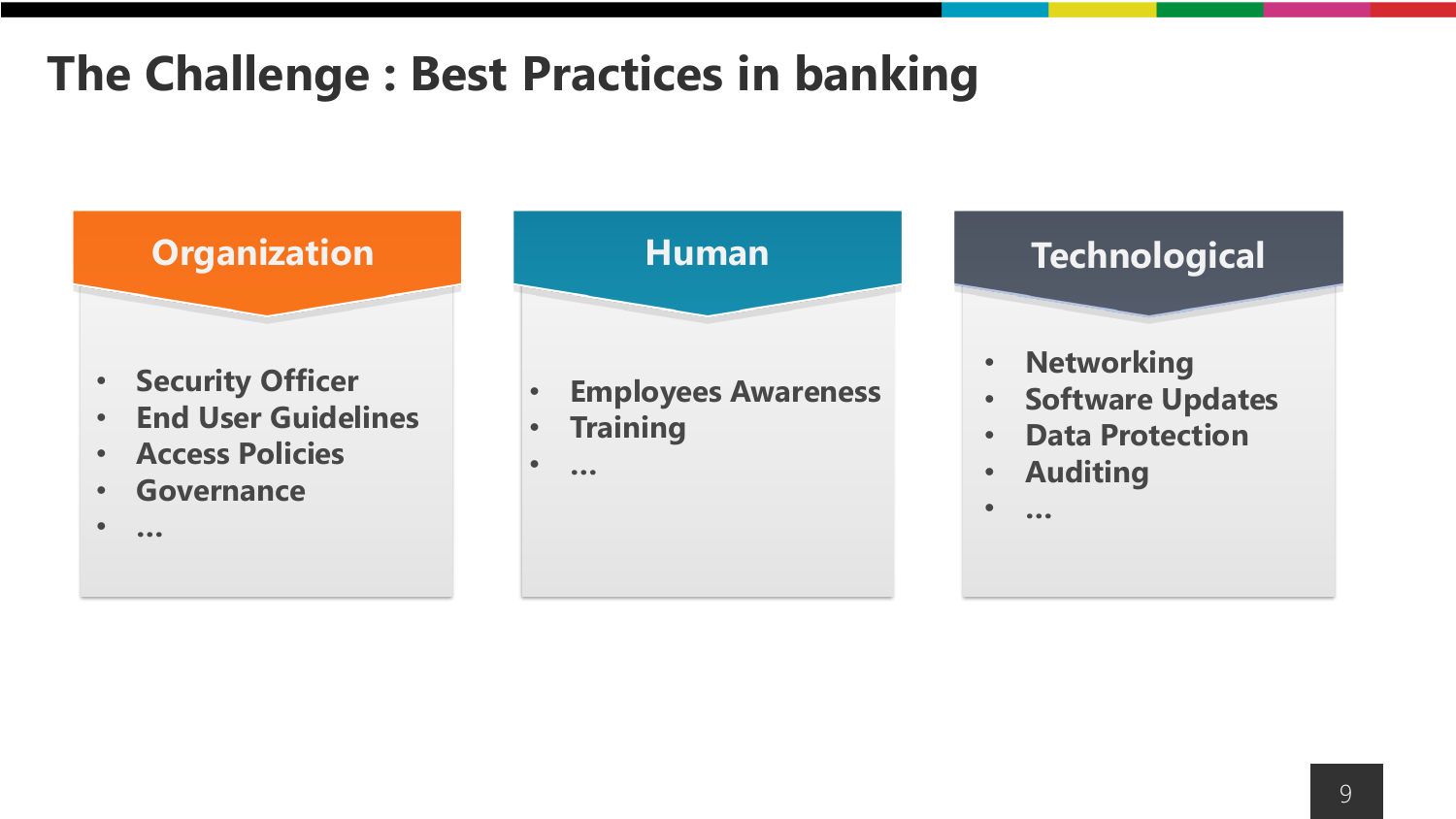### **The Challenge : Best Practices in banking**



- **Security Officer**
- **End User Guidelines**
- **Access Policies**
- **Governance**

• **…**

- **Employees Awareness**
- **Training**
- **…**

- **Networking**
- **Software Updates**
- **Data Protection**
- **Auditing**

• **…**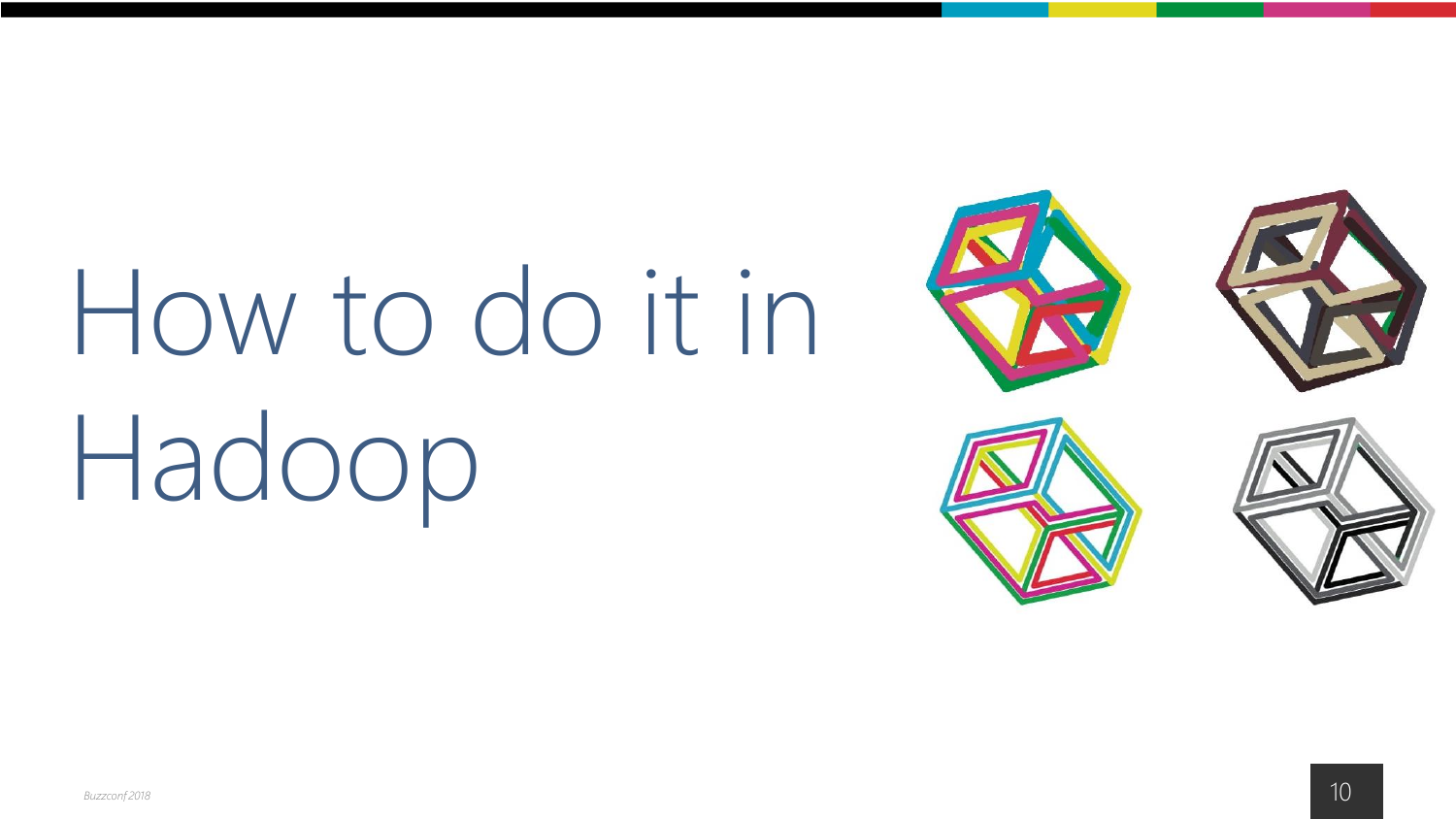# How to do it in Hadoop







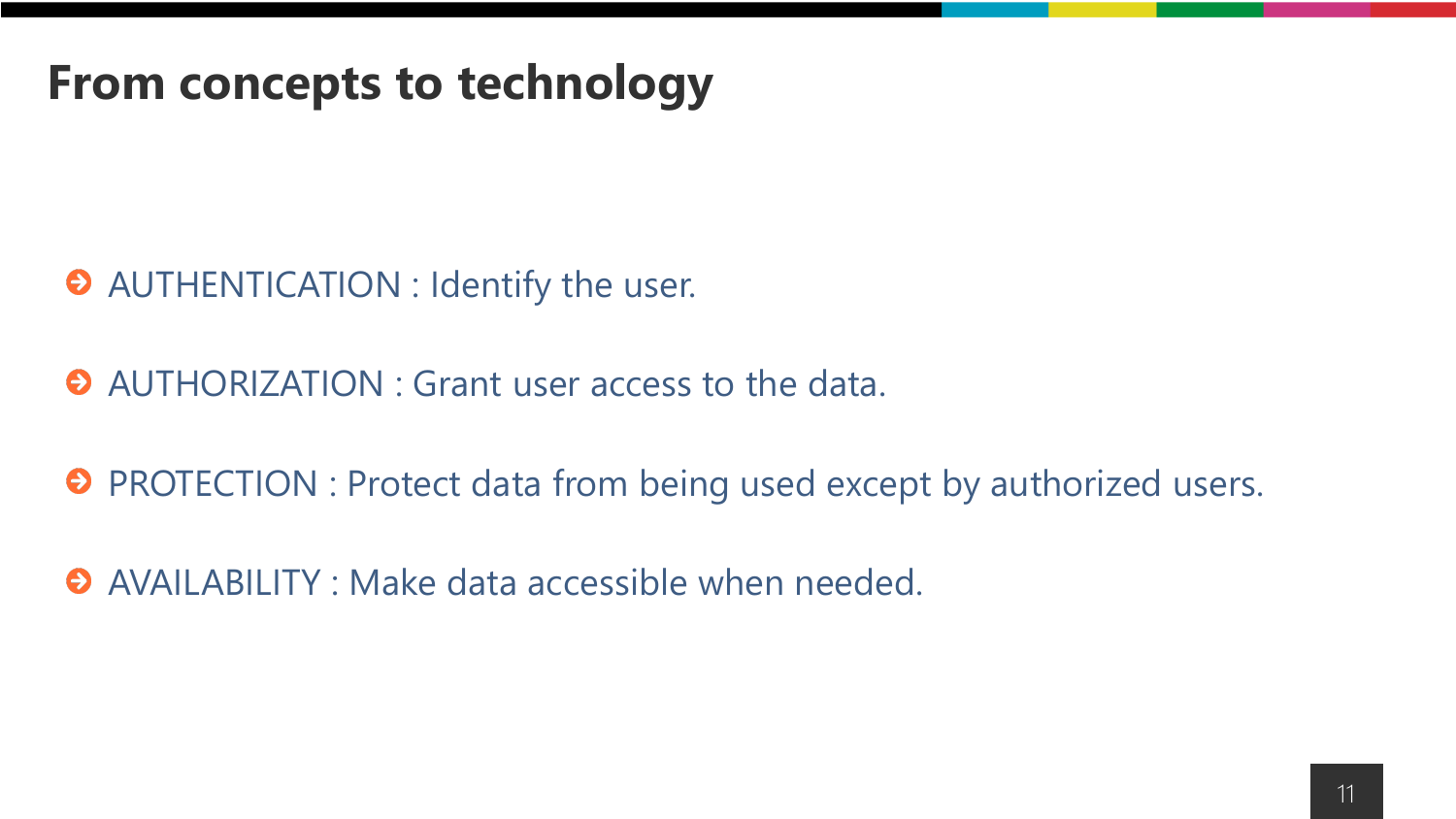### **From concepts to technology**

- AUTHENTICATION : Identify the user.
- AUTHORIZATION : Grant user access to the data.
- **O** PROTECTION : Protect data from being used except by authorized users.
- AVAILABILITY : Make data accessible when needed.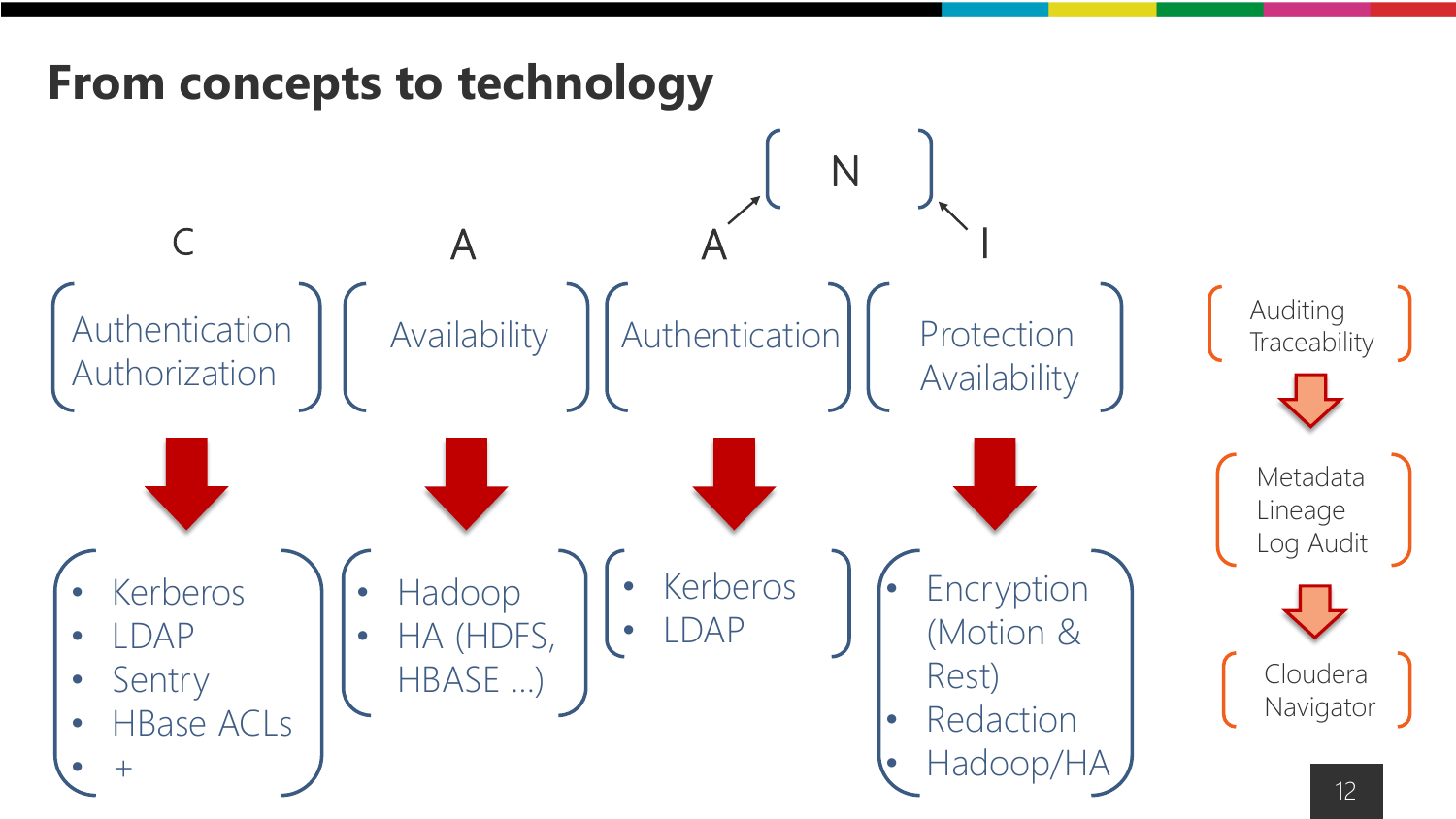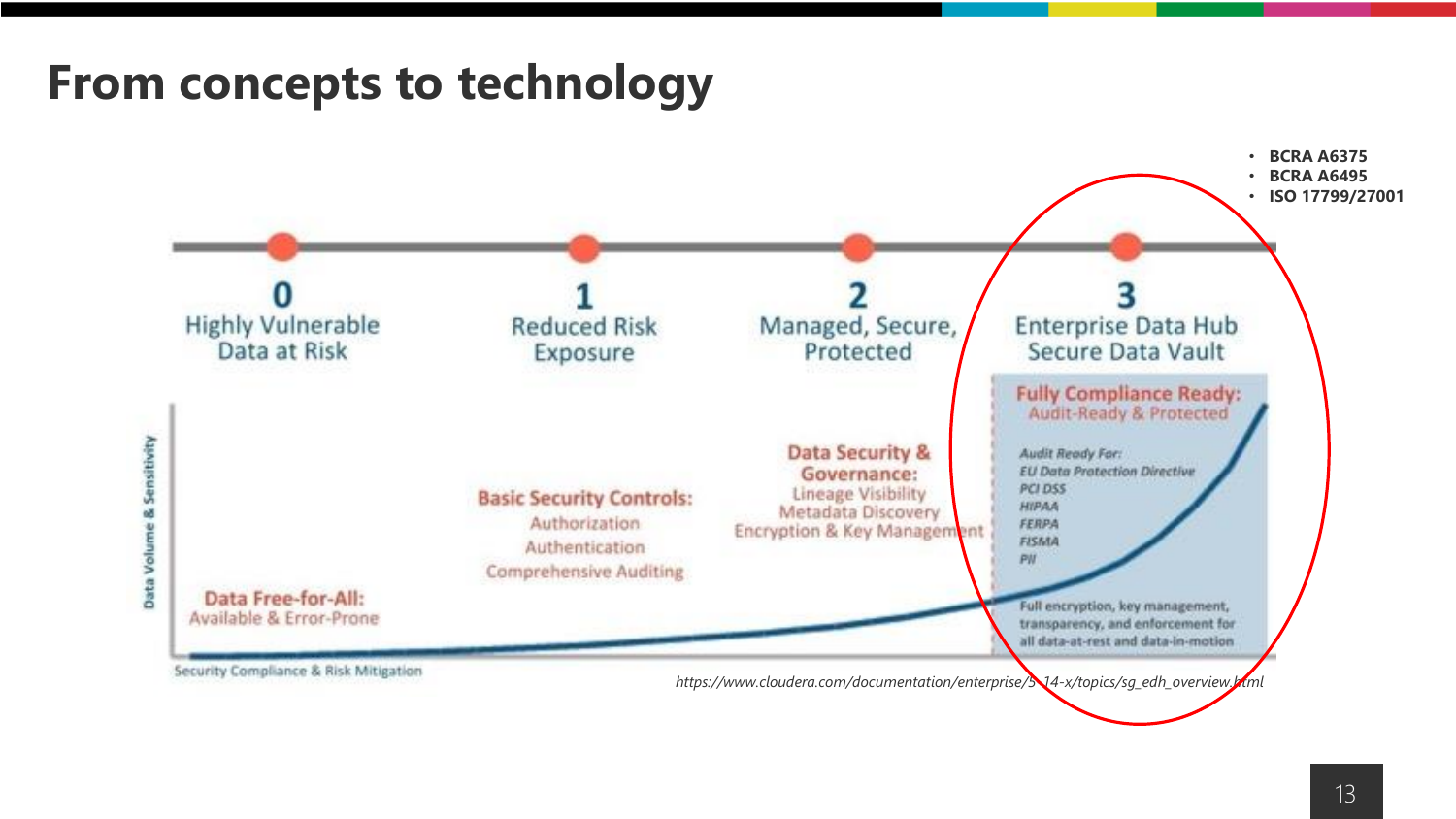### **From concepts to technology**

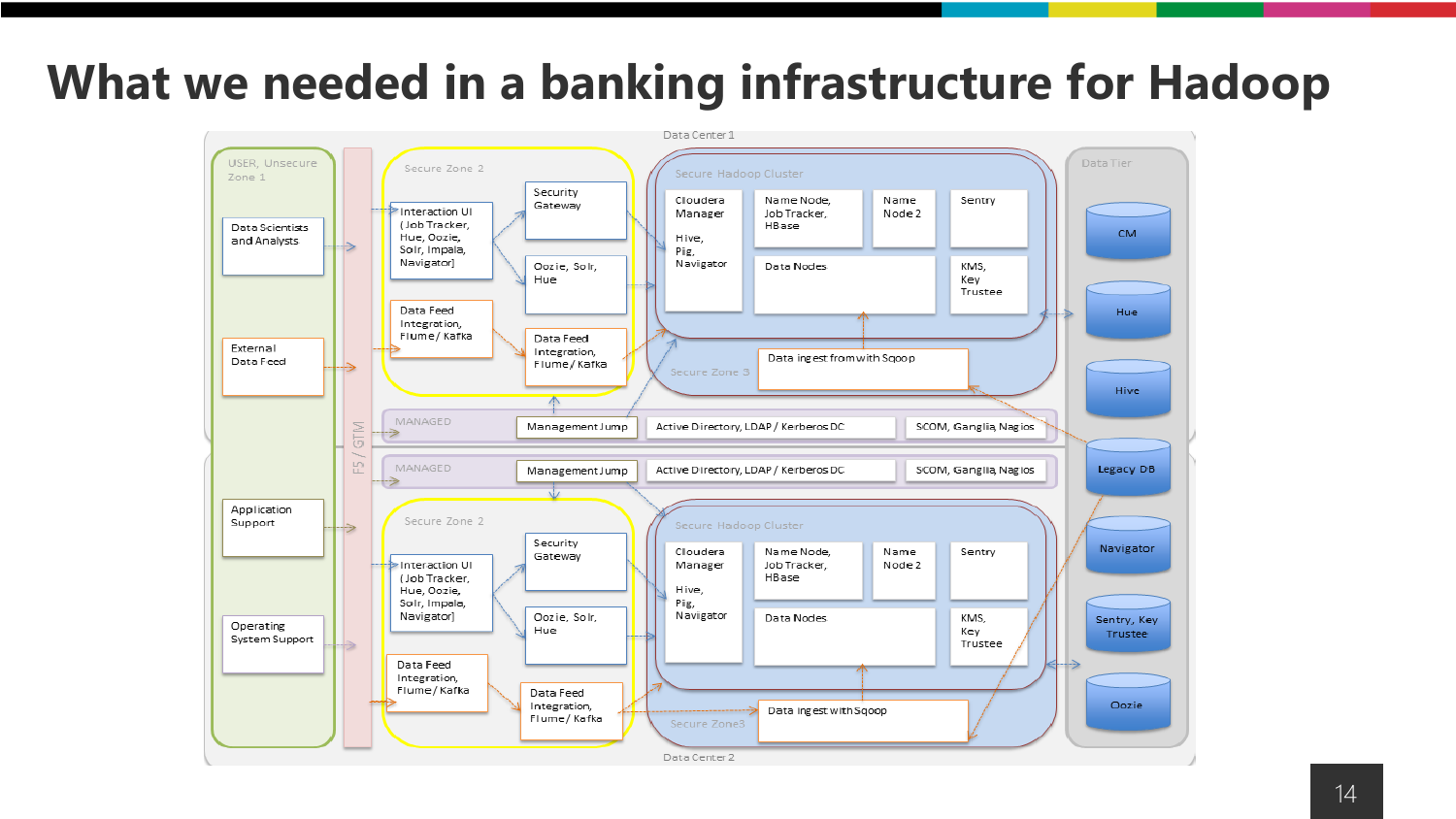### **What we needed in a banking infrastructure for Hadoop**

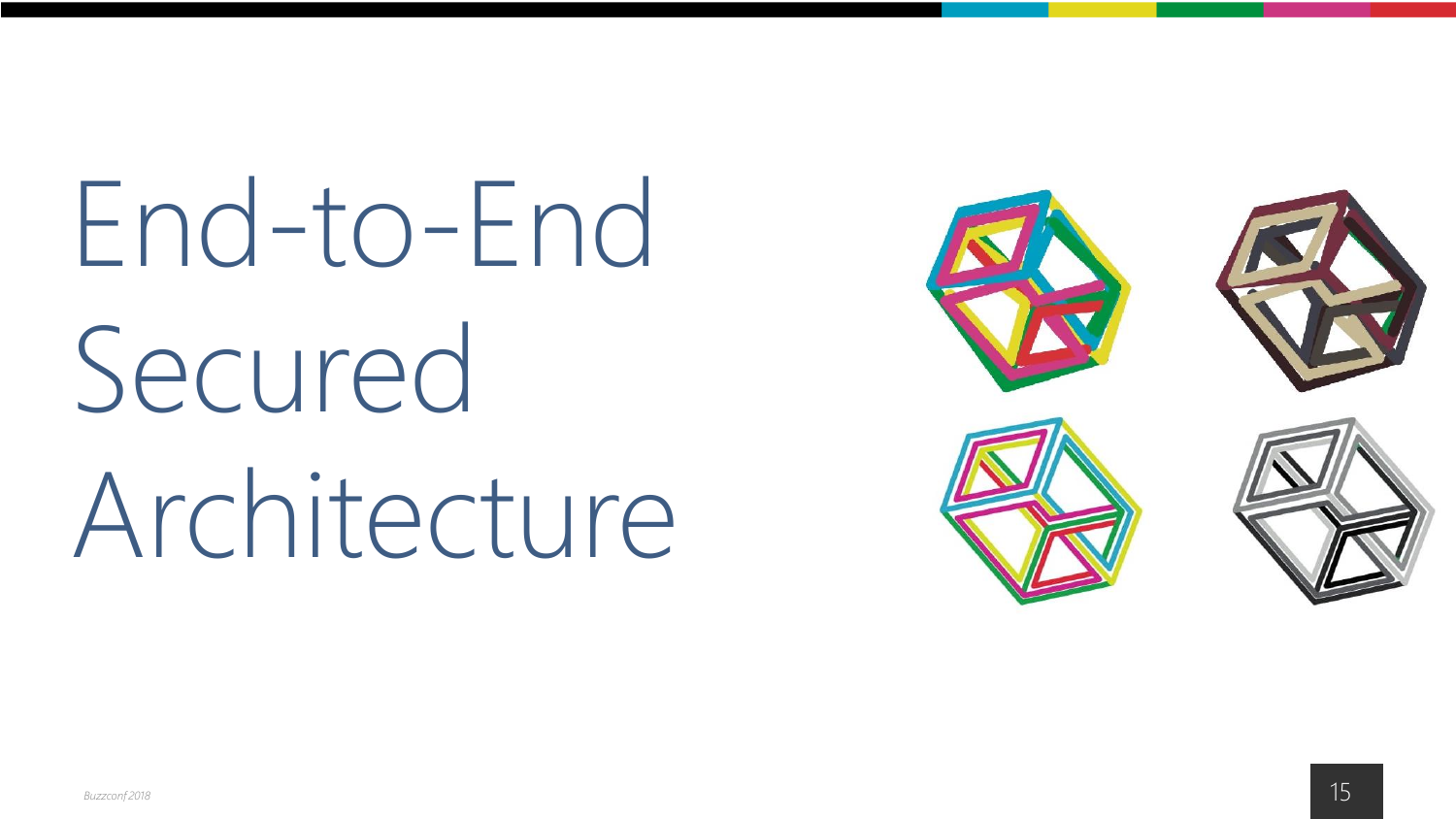End-to-End Secured Architecture

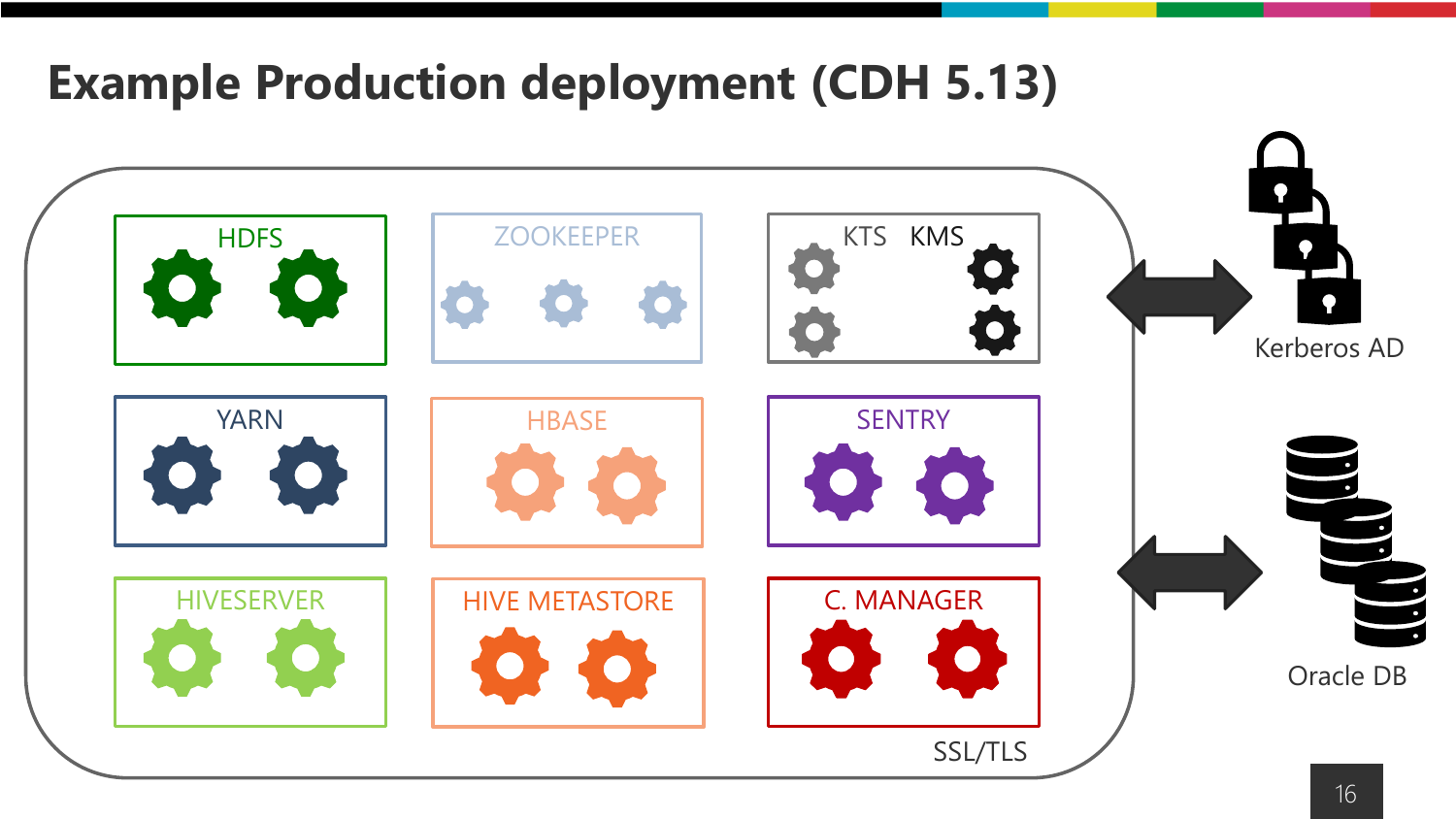### **Example Production deployment (CDH 5.13)**

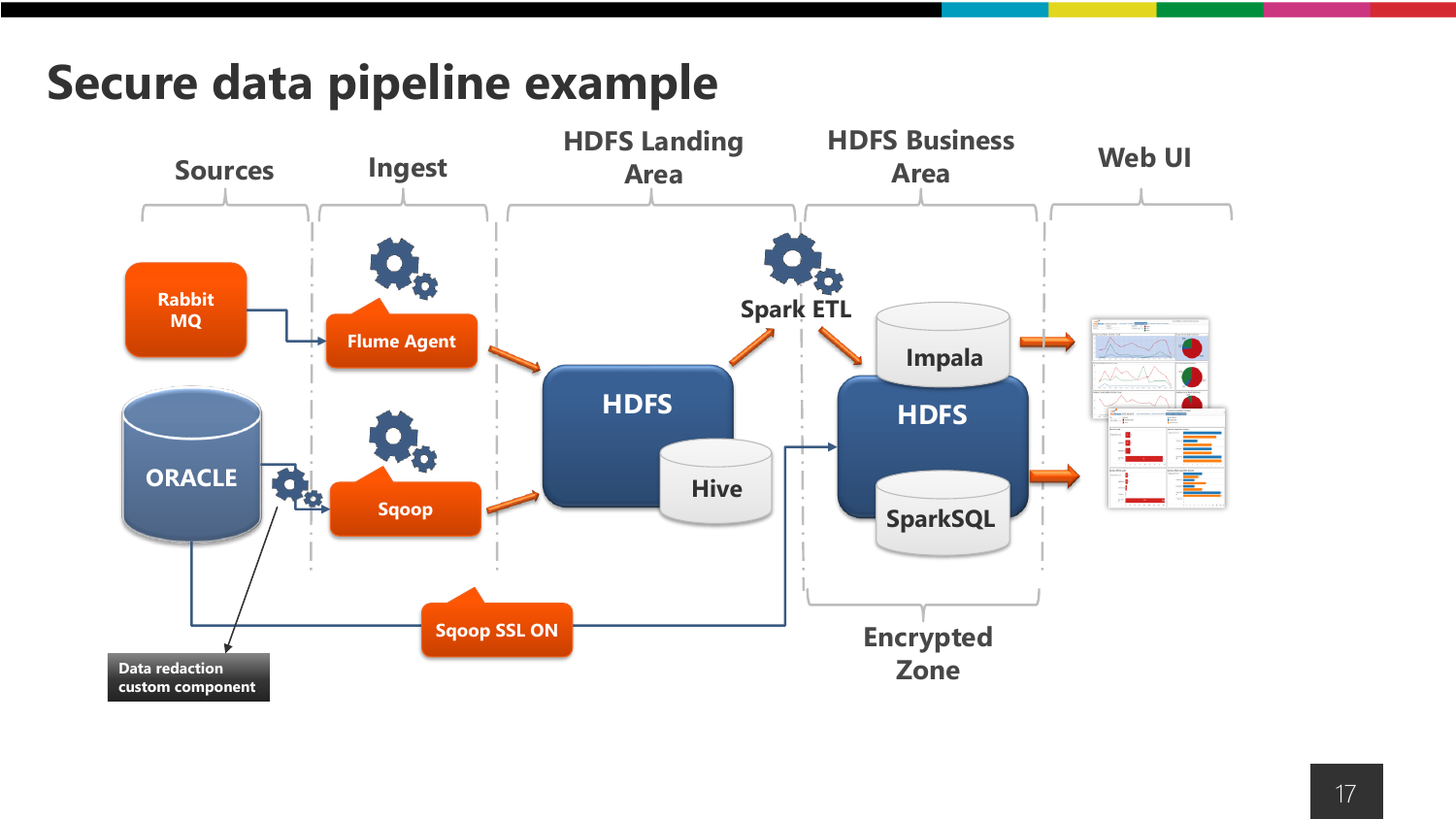### **Secure data pipeline example**

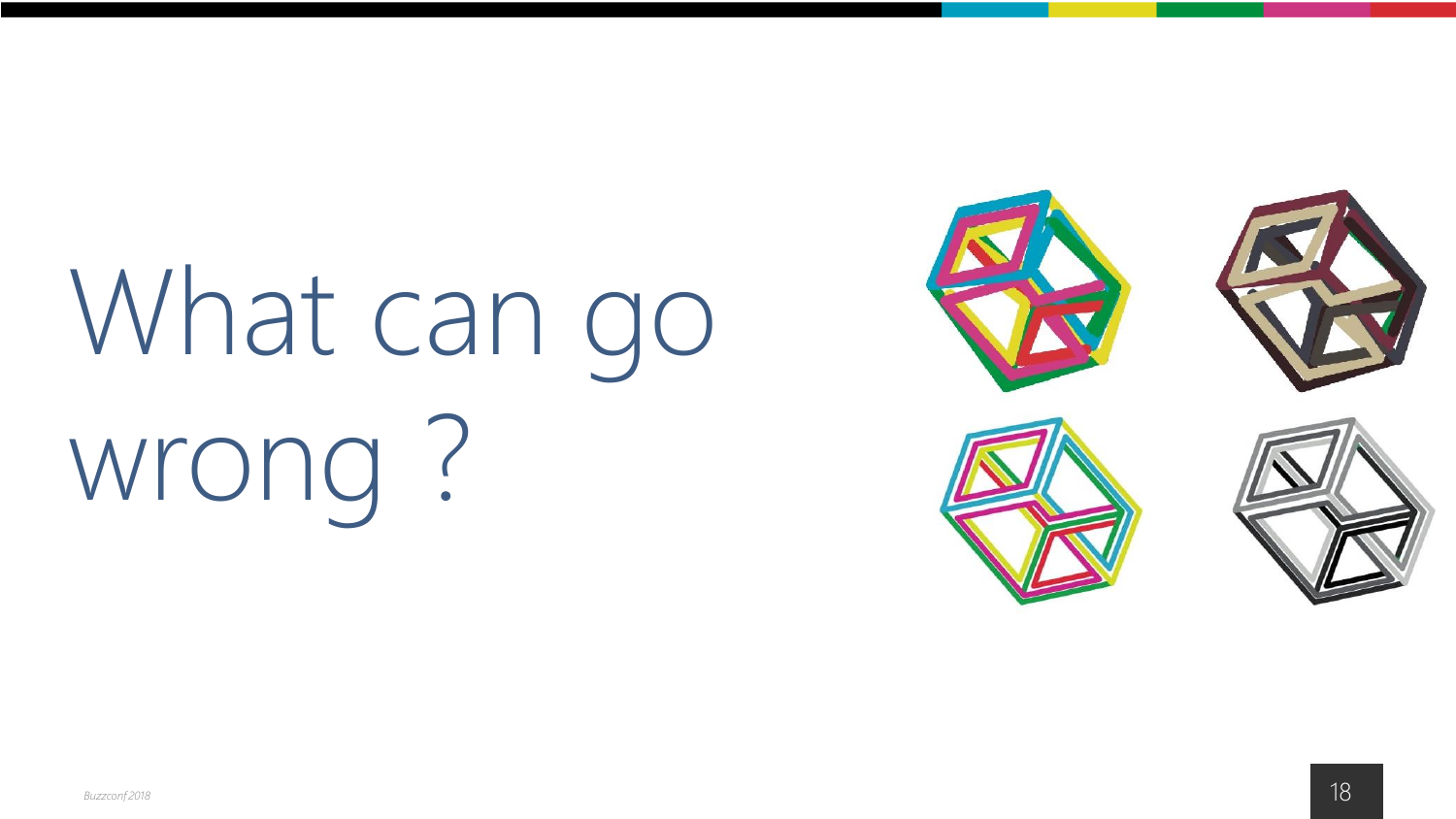# What can go wrong ?

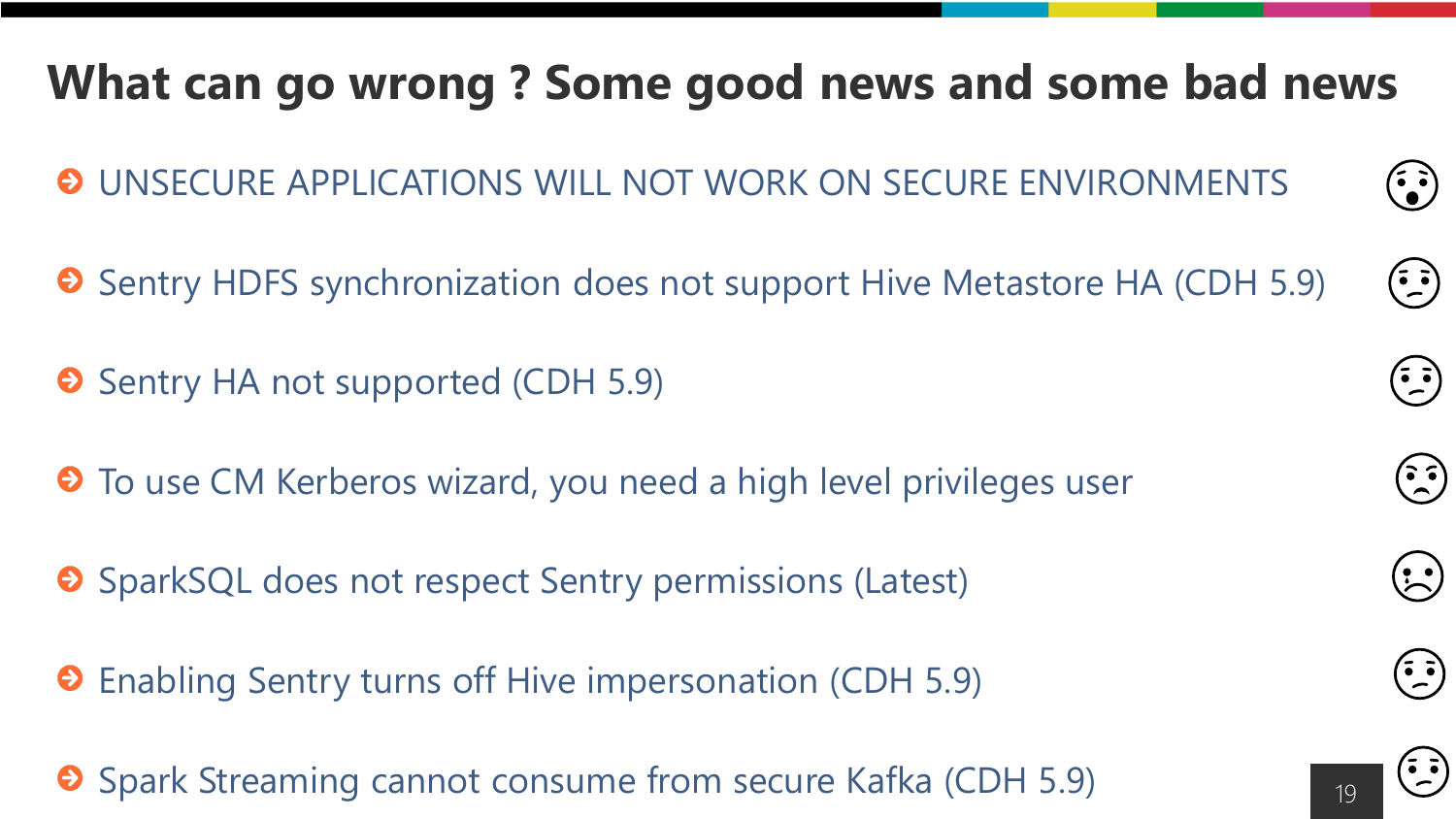### **What can go wrong ? Some good news and some bad news**

UNSECURE APPLICATIONS WILL NOT WORK ON SECURE ENVIRONMENTS

- **O** Sentry HDFS synchronization does not support Hive Metastore HA (CDH 5.9)
- **O** Sentry HA not supported (CDH 5.9)
- $\Theta$  To use CM Kerberos wizard, you need a high level privileges user
- **O** SparkSQL does not respect Sentry permissions (Latest)
- Enabling Sentry turns off Hive impersonation (CDH 5.9)
- Spark Streaming cannot consume from secure Kafka (CDH 5.9)



 $\left(\begin{matrix} \cdot & \cdot \\ \cdot & \cdot \end{matrix}\right)$ 

 $\left(\begin{matrix} \overline{\bullet} & \overline{\bullet} \\ -\end{matrix}\right)$ 

 $\left(\frac{1}{2}, \frac{1}{2}\right)$ 

 $(\tilde{\cdot})$ 

 $\left(\frac{1}{2}\right)$ 

 $\left(\begin{matrix} \overline{\bullet} & \overline{\bullet} \\ -\end{matrix}\right)$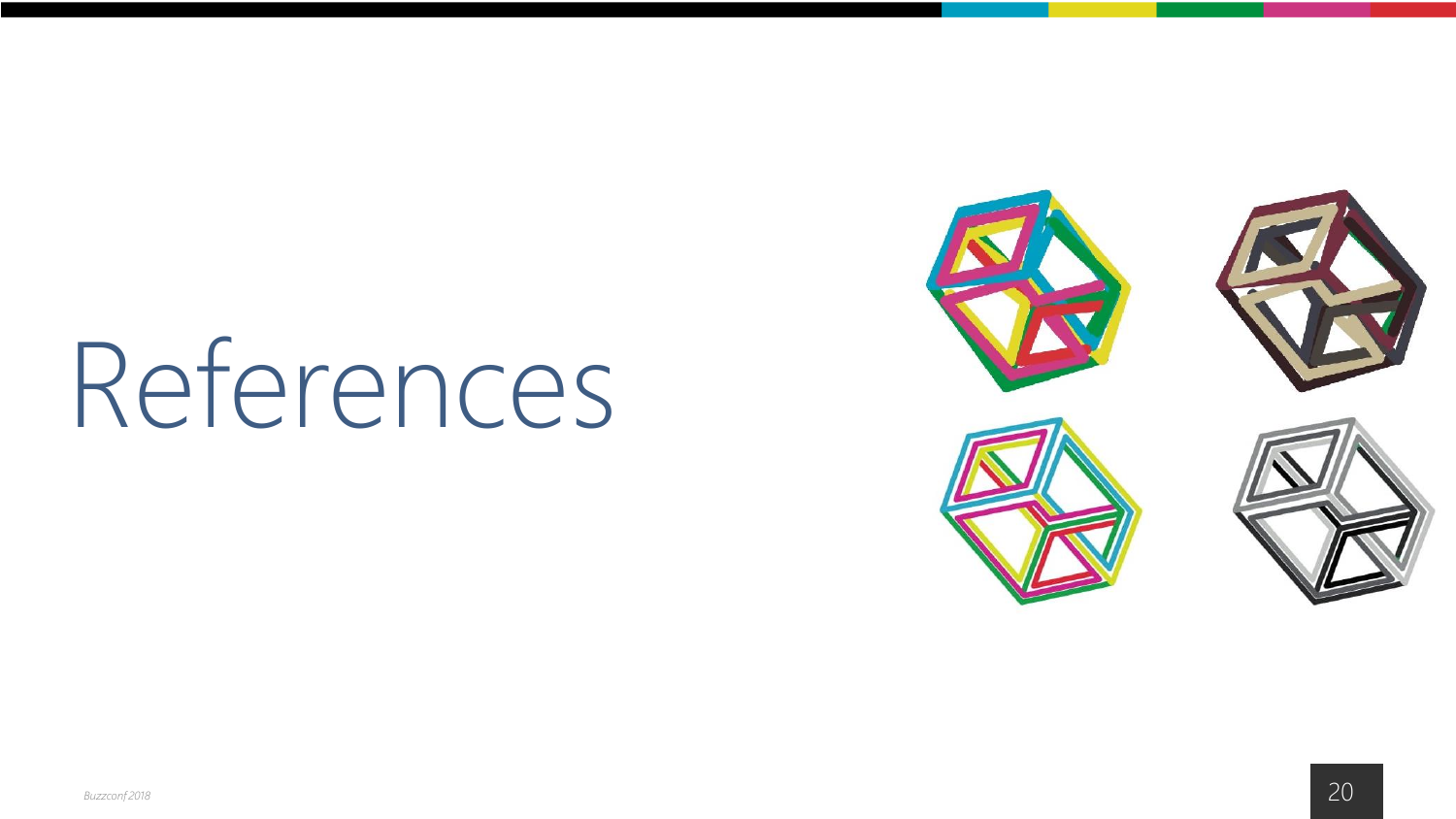# References

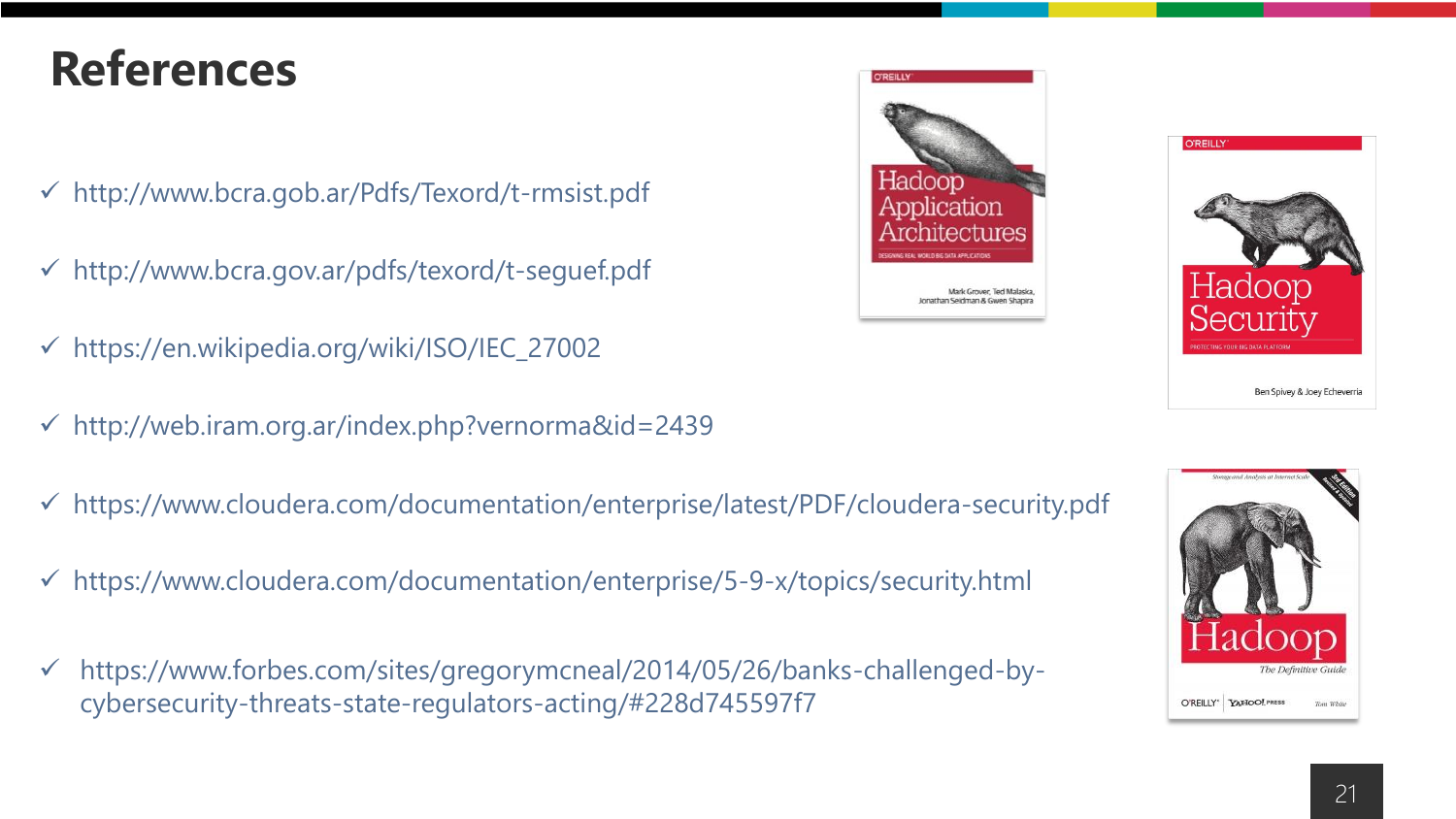### **References**

- http://www.bcra.gob.ar/Pdfs/Texord/t-rmsist.pdf
- ✓ http://www.bcra.gov.ar/pdfs/texord/t-seguef.pdf
- ✓ https://en.wikipedia.org/wiki/ISO/IEC\_27002
- $\checkmark$  http://web.iram.org.ar/index.php?vernorma&id=2439
- ✓ https://www.cloudera.com/documentation/enterprise/latest/PDF/cloudera-security.pdf
- ✓ https://www.cloudera.com/documentation/enterprise/5-9-x/topics/security.html
- ✓ https://www.forbes.com/sites/gregorymcneal/2014/05/26/banks-challenged-bycybersecurity-threats-state-regulators-acting/#228d745597f7





O'REILLY' YAHOO! PRESS

**O'REILLY** 

Tom White